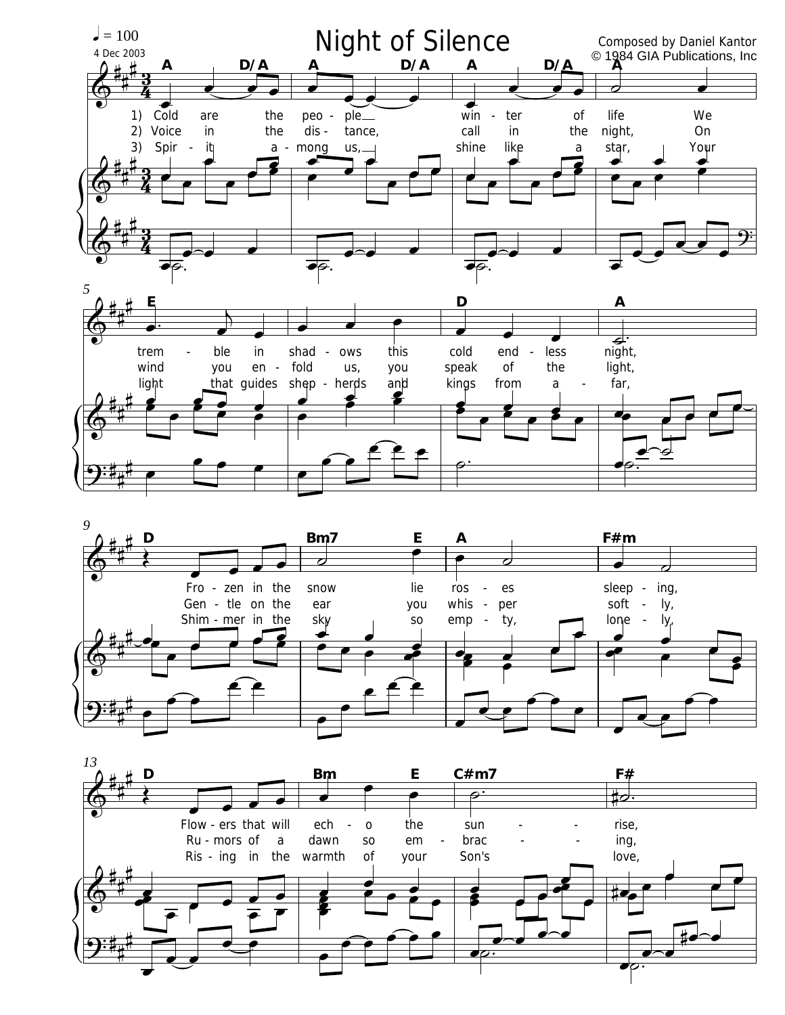